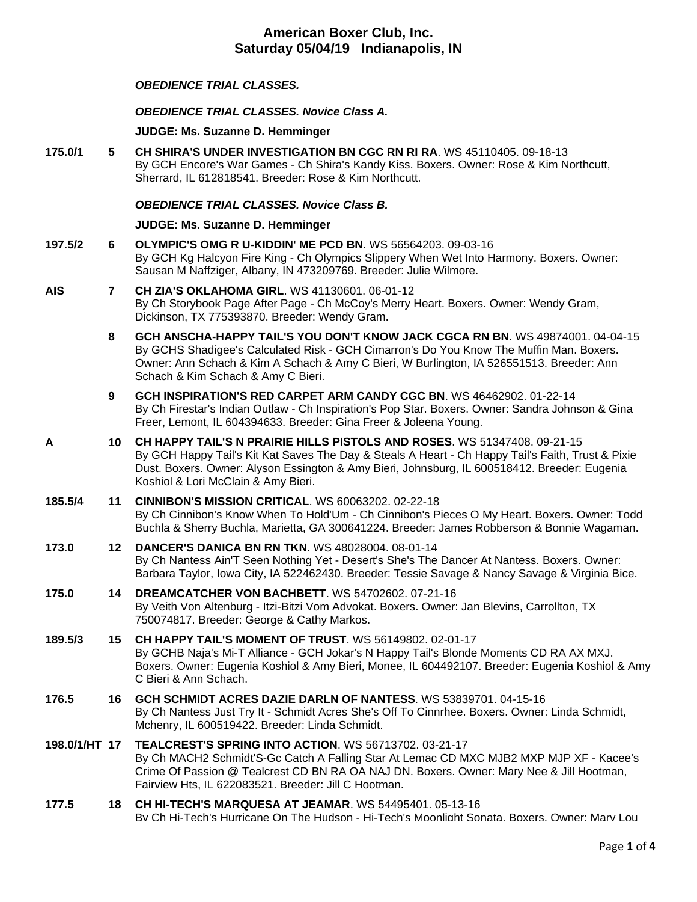## *OBEDIENCE TRIAL CLASSES.*

#### *OBEDIENCE TRIAL CLASSES. Novice Class A.*

**JUDGE: [Ms. Suzanne D. Hemminger](http://infodog.com/show/judge/jdgprofile.htm?jn=15146)**

**175.0/1 5 [CH SHIRA'S UNDER INVESTIGATION BN CGC RN RI RA](http://infodog.com/my/drlookup2.htm?makc=WS%2045110405&mdog=Ch+Shira%27s+Under+Investigation+BN+CGC+RN+RI+RA&wins=all)**. WS 45110405. 09-18-13 By GCH Encore's War Games - Ch Shira's Kandy Kiss. Boxers. Owner: Rose & Kim Northcutt, Sherrard, IL 612818541. Breeder: Rose & Kim Northcutt.

#### *OBEDIENCE TRIAL CLASSES. Novice Class B.*

#### **JUDGE: [Ms. Suzanne D. Hemminger](http://infodog.com/show/judge/jdgprofile.htm?jn=15146)**

- **197.5/2 6 [OLYMPIC'S OMG R U-KIDDIN' ME PCD BN](http://infodog.com/my/drlookup2.htm?makc=WS%2056564203&mdog=Olympic%27s+OMG+R+U-Kiddin%27+Me+PCD+BN&wins=all)**. WS 56564203. 09-03-16 By GCH Kg Halcyon Fire King - Ch Olympics Slippery When Wet Into Harmony. Boxers. Owner: Sausan M Naffziger, Albany, IN 473209769. Breeder: Julie Wilmore.
- **AIS 7 [CH ZIA'S OKLAHOMA GIRL](http://infodog.com/my/drlookup2.htm?makc=WS%2041130601&mdog=Ch+Zia%27s+Oklahoma+Girl&wins=all)**. WS 41130601. 06-01-12 By Ch Storybook Page After Page - Ch McCoy's Merry Heart. Boxers. Owner: Wendy Gram, Dickinson, TX 775393870. Breeder: Wendy Gram.
	- **8 [GCH ANSCHA-HAPPY TAIL'S YOU DON'T KNOW JACK CGCA RN BN](http://infodog.com/my/drlookup2.htm?makc=WS%2049874001&mdog=GCH+Anscha-Happy+Tail%27s+You+Don%27t+Know+Jack+CGCA+RN+BN&wins=all)**. WS 49874001. 04-04-15 By GCHS Shadigee's Calculated Risk - GCH Cimarron's Do You Know The Muffin Man. Boxers. Owner: Ann Schach & Kim A Schach & Amy C Bieri, W Burlington, IA 526551513. Breeder: Ann Schach & Kim Schach & Amy C Bieri.
	- **9 [GCH INSPIRATION'S RED CARPET ARM CANDY CGC BN](http://infodog.com/my/drlookup2.htm?makc=WS%2046462902&mdog=GCH+Inspiration%27s+Red+Carpet+Arm+Candy+CGC+BN&wins=all)**. WS 46462902. 01-22-14 By Ch Firestar's Indian Outlaw - Ch Inspiration's Pop Star. Boxers. Owner: Sandra Johnson & Gina Freer, Lemont, IL 604394633. Breeder: Gina Freer & Joleena Young.
- **A 10 [CH HAPPY TAIL'S N PRAIRIE HILLS PISTOLS AND ROSES](http://infodog.com/my/drlookup2.htm?makc=WS%2051347408&mdog=Ch+Happy+Tail%27s+N+Prairie+Hills+Pistols+And+Roses&wins=all)**. WS 51347408. 09-21-15 By GCH Happy Tail's Kit Kat Saves The Day & Steals A Heart - Ch Happy Tail's Faith, Trust & Pixie Dust. Boxers. Owner: Alyson Essington & Amy Bieri, Johnsburg, IL 600518412. Breeder: Eugenia Koshiol & Lori McClain & Amy Bieri.

#### **185.5/4 11 [CINNIBON'S MISSION CRITICAL](http://infodog.com/my/drlookup2.htm?makc=WS%2060063202&mdog=Cinnibon%27s+Mission+Critical&wins=all)**. WS 60063202. 02-22-18

By Ch Cinnibon's Know When To Hold'Um - Ch Cinnibon's Pieces O My Heart. Boxers. Owner: Todd Buchla & Sherry Buchla, Marietta, GA 300641224. Breeder: James Robberson & Bonnie Wagaman.

- **173.0 12 [DANCER'S DANICA BN RN TKN](http://infodog.com/my/drlookup2.htm?makc=WS%2048028004&mdog=Dancer%27s+Danica+BN+RN+TKN&wins=all)**. WS 48028004. 08-01-14 By Ch Nantess Ain'T Seen Nothing Yet - Desert's She's The Dancer At Nantess. Boxers. Owner: Barbara Taylor, Iowa City, IA 522462430. Breeder: Tessie Savage & Nancy Savage & Virginia Bice.
- **175.0 14 [DREAMCATCHER VON BACHBETT](http://infodog.com/my/drlookup2.htm?makc=WS%2054702602&mdog=Dreamcatcher+Von+Bachbett&wins=all)**. WS 54702602. 07-21-16 By Veith Von Altenburg - Itzi-Bitzi Vom Advokat. Boxers. Owner: Jan Blevins, Carrollton, TX 750074817. Breeder: George & Cathy Markos.
- **189.5/3 15 [CH HAPPY TAIL'S MOMENT OF TRUST](http://infodog.com/my/drlookup2.htm?makc=WS%2056149802&mdog=Ch+Happy+Tail%27s+Moment+Of+Trust&wins=all)**. WS 56149802. 02-01-17 By GCHB Naja's Mi-T Alliance - GCH Jokar's N Happy Tail's Blonde Moments CD RA AX MXJ. Boxers. Owner: Eugenia Koshiol & Amy Bieri, Monee, IL 604492107. Breeder: Eugenia Koshiol & Amy C Bieri & Ann Schach.
- **176.5 16 [GCH SCHMIDT ACRES DAZIE DARLN OF NANTESS](http://infodog.com/my/drlookup2.htm?makc=WS%2053839701&mdog=GCH+Schmidt+Acres+Dazie+Darln+Of+Nantess&wins=all)**. WS 53839701. 04-15-16 By Ch Nantess Just Try It - Schmidt Acres She's Off To Cinnrhee. Boxers. Owner: Linda Schmidt, Mchenry, IL 600519422. Breeder: Linda Schmidt.
- **198.0/1/HT 17 [TEALCREST'S SPRING INTO ACTION](http://infodog.com/my/drlookup2.htm?makc=WS%2056713702&mdog=Tealcrest%27s+Spring+Into+Action&wins=all)**. WS 56713702. 03-21-17 By Ch MACH2 Schmidt'S-Gc Catch A Falling Star At Lemac CD MXC MJB2 MXP MJP XF - Kacee's Crime Of Passion @ Tealcrest CD BN RA OA NAJ DN. Boxers. Owner: Mary Nee & Jill Hootman, Fairview Hts, IL 622083521. Breeder: Jill C Hootman.
- **177.5 18 [CH HI-TECH'S MARQUESA AT JEAMAR](http://infodog.com/my/drlookup2.htm?makc=WS%2054495401&mdog=Ch+Hi-Tech%27s+Marquesa+At+Jeamar&wins=all)**. WS 54495401. 05-13-16 By Ch Hi-Tech's Hurricane On The Hudson - Hi-Tech's Moonlight Sonata. Boxers. Owner: Mary Lou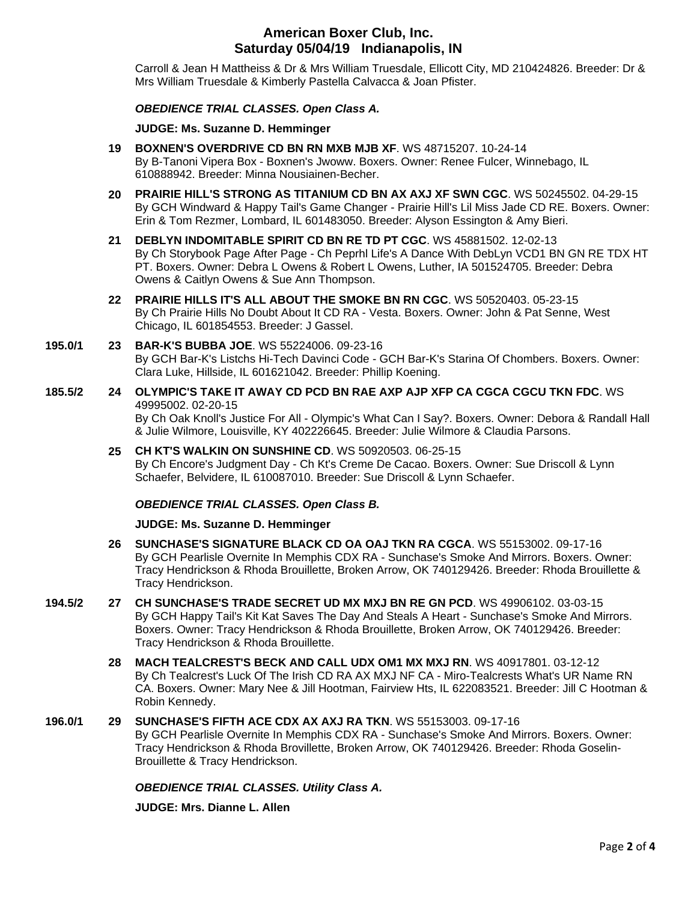Carroll & Jean H Mattheiss & Dr & Mrs William Truesdale, Ellicott City, MD 210424826. Breeder: Dr & Mrs William Truesdale & Kimberly Pastella Calvacca & Joan Pfister.

#### *OBEDIENCE TRIAL CLASSES. Open Class A.*

**JUDGE: [Ms. Suzanne D. Hemminger](http://infodog.com/show/judge/jdgprofile.htm?jn=15146)**

- **19 [BOXNEN'S OVERDRIVE CD BN RN MXB MJB XF](http://infodog.com/my/drlookup2.htm?makc=WS%2048715207&mdog=Boxnen%27s+Overdrive+CD+BN+RN+MXB+MJB+XF&wins=all)**. WS 48715207. 10-24-14 By B-Tanoni Vipera Box - Boxnen's Jwoww. Boxers. Owner: Renee Fulcer, Winnebago, IL 610888942. Breeder: Minna Nousiainen-Becher.
- **20 [PRAIRIE HILL'S STRONG AS TITANIUM CD](http://infodog.com/my/drlookup2.htm?makc=WS%2050245502&mdog=Prairie+Hill%27s+Strong+As+Titanium+CD+BN+AX+AXJ+XF+SWN+CGC&wins=all) BN AX AXJ XF SWN CGC**. WS 50245502. 04-29-15 By GCH Windward & Happy Tail's Game Changer - Prairie Hill's Lil Miss Jade CD RE. Boxers. Owner: Erin & Tom Rezmer, Lombard, IL 601483050. Breeder: Alyson Essington & Amy Bieri.
- **21 [DEBLYN INDOMITABLE SPIRIT CD BN RE TD PT CGC](http://infodog.com/my/drlookup2.htm?makc=WS%2045881502&mdog=DebLyn+Indomitable+Spirit+CD+BN+RE+TD+PT+CGC&wins=all)**. WS 45881502. 12-02-13 By Ch Storybook Page After Page - Ch Peprhl Life's A Dance With DebLyn VCD1 BN GN RE TDX HT PT. Boxers. Owner: Debra L Owens & Robert L Owens, Luther, IA 501524705. Breeder: Debra Owens & Caitlyn Owens & Sue Ann Thompson.
- **22 [PRAIRIE HILLS IT'S ALL ABOUT THE SMOKE BN RN CGC](http://infodog.com/my/drlookup2.htm?makc=WS%2050520403&mdog=Prairie+Hills+It%27s+All+About+The+Smoke+BN+RN+CGC&wins=all)**. WS 50520403. 05-23-15 By Ch Prairie Hills No Doubt About It CD RA - Vesta. Boxers. Owner: John & Pat Senne, West Chicago, IL 601854553. Breeder: J Gassel.

#### **195.0/1 23 [BAR-K'S BUBBA JOE](http://infodog.com/my/drlookup2.htm?makc=WS%2055224006&mdog=Bar-K%27s+Bubba+Joe&wins=all)**. WS 55224006. 09-23-16 By GCH Bar-K's Listchs Hi-Tech Davinci Code - GCH Bar-K's Starina Of Chombers. Boxers. Owner: Clara Luke, Hillside, IL 601621042. Breeder: Phillip Koening.

- **185.5/2 24 [OLYMPIC'S TAKE IT AWAY CD PCD BN RAE AXP AJP XFP CA CGCA CGCU TKN FDC](http://infodog.com/my/drlookup2.htm?makc=WS%2049995002&mdog=Olympic%27s+Take+It+Away+CD+PCD+BN+RAE+AXP+AJP+XFP+CA+CGCA+CGCU+TKN+FDC&wins=all)**. WS 49995002. 02-20-15 By Ch Oak Knoll's Justice For All - Olympic's What Can I Say?. Boxers. Owner: Debora & Randall Hall & Julie Wilmore, Louisville, KY 402226645. Breeder: Julie Wilmore & Claudia Parsons.
	- **25 [CH KT'S WALKIN ON SUNSHINE CD](http://infodog.com/my/drlookup2.htm?makc=WS%2050920503&mdog=Ch+KT%27s+Walkin+On+Sunshine+CD&wins=all)**. WS 50920503. 06-25-15 By Ch Encore's Judgment Day - Ch Kt's Creme De Cacao. Boxers. Owner: Sue Driscoll & Lynn Schaefer, Belvidere, IL 610087010. Breeder: Sue Driscoll & Lynn Schaefer.

## *OBEDIENCE TRIAL CLASSES. Open Class B.*

**JUDGE: [Ms. Suzanne D. Hemminger](http://infodog.com/show/judge/jdgprofile.htm?jn=15146)**

- **26 [SUNCHASE'S SIGNATURE BLACK CD OA OAJ TKN RA CGCA](http://infodog.com/my/drlookup2.htm?makc=WS%2055153002&mdog=Sunchase%27s+Signature+Black+CD+OA+OAJ+TKN+RA+CGCA&wins=all)**. WS 55153002. 09-17-16 By GCH Pearlisle Overnite In Memphis CDX RA - Sunchase's Smoke And Mirrors. Boxers. Owner: Tracy Hendrickson & Rhoda Brouillette, Broken Arrow, OK 740129426. Breeder: Rhoda Brouillette & Tracy Hendrickson.
- **194.5/2 27 [CH SUNCHASE'S TRADE SECRET UD MX MXJ BN RE GN PCD](http://infodog.com/my/drlookup2.htm?makc=WS%2049906102&mdog=Ch+Sunchase%27s+Trade+Secret+UD+MX+MXJ+BN+RE+GN+PCD&wins=all)**. WS 49906102. 03-03-15 By GCH Happy Tail's Kit Kat Saves The Day And Steals A Heart - Sunchase's Smoke And Mirrors. Boxers. Owner: Tracy Hendrickson & Rhoda Brouillette, Broken Arrow, OK 740129426. Breeder: Tracy Hendrickson & Rhoda Brouillette.
	- **28 [MACH TEALCREST'S BECK AND CALL UDX OM1 MX MXJ RN](http://infodog.com/my/drlookup2.htm?makc=WS%2040917801&mdog=MACH+Tealcrest%27s+Beck+And+Call+UDX+OM1+MX+MXJ+RN&wins=all)**. WS 40917801. 03-12-12 By Ch Tealcrest's Luck Of The Irish CD RA AX MXJ NF CA - Miro-Tealcrests What's UR Name RN CA. Boxers. Owner: Mary Nee & Jill Hootman, Fairview Hts, IL 622083521. Breeder: Jill C Hootman & Robin Kennedy.
- **196.0/1 29 [SUNCHASE'S FIFTH ACE CDX AX AXJ RA TKN](http://infodog.com/my/drlookup2.htm?makc=WS%2055153003&mdog=Sunchase%27s+Fifth+Ace+CDX+AX+AXJ+RA+TKN&wins=all)**. WS 55153003. 09-17-16 By GCH Pearlisle Overnite In Memphis CDX RA - Sunchase's Smoke And Mirrors. Boxers. Owner: Tracy Hendrickson & Rhoda Brovillette, Broken Arrow, OK 740129426. Breeder: Rhoda Goselin-Brouillette & Tracy Hendrickson.

#### *OBEDIENCE TRIAL CLASSES. Utility Class A.*

**JUDGE: [Mrs. Dianne L. Allen](http://infodog.com/show/judge/jdgprofile.htm?jn=5494)**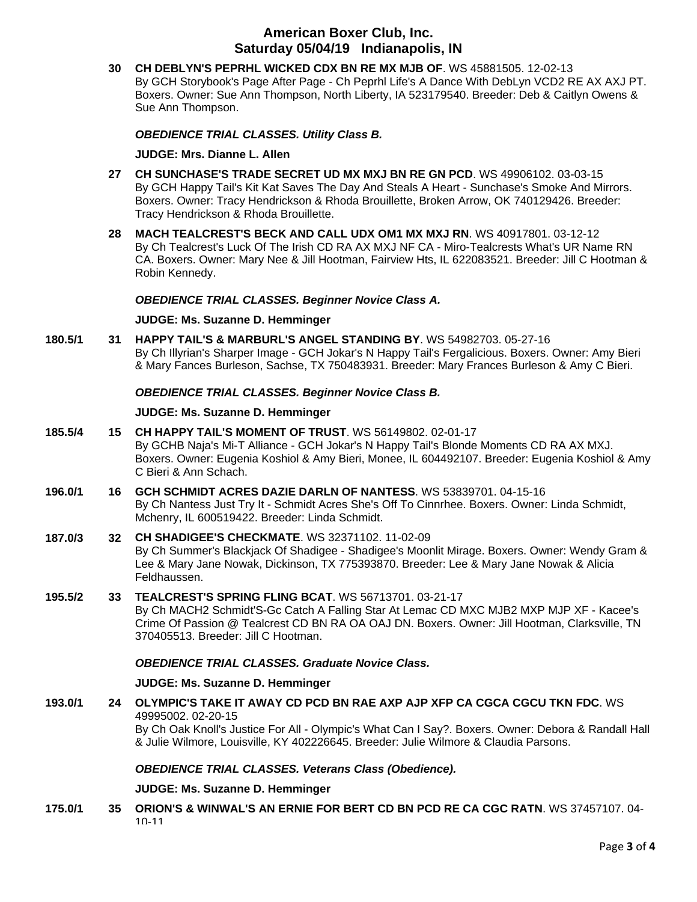**30 [CH DEBLYN'S PEPRHL WICKED CDX BN RE MX MJB OF](http://infodog.com/my/drlookup2.htm?makc=WS%2045881505&mdog=Ch+DebLyn%27s+Peprhl+Wicked+CDX+BN+RE+MX+MJB+OF&wins=all)**. WS 45881505. 12-02-13 By GCH Storybook's Page After Page - Ch Peprhl Life's A Dance With DebLyn VCD2 RE AX AXJ PT. Boxers. Owner: Sue Ann Thompson, North Liberty, IA 523179540. Breeder: Deb & Caitlyn Owens & Sue Ann Thompson.

*OBEDIENCE TRIAL CLASSES. Utility Class B.*

#### **JUDGE: [Mrs. Dianne L. Allen](http://infodog.com/show/judge/jdgprofile.htm?jn=5494)**

- **27 [CH SUNCHASE'S TRADE SECRET UD MX MXJ BN RE GN PCD](http://infodog.com/my/drlookup2.htm?makc=WS%2049906102&mdog=Ch+Sunchase%27s+Trade+Secret+UD+MX+MXJ+BN+RE+GN+PCD&wins=all)**. WS 49906102. 03-03-15 By GCH Happy Tail's Kit Kat Saves The Day And Steals A Heart - Sunchase's Smoke And Mirrors. Boxers. Owner: Tracy Hendrickson & Rhoda Brouillette, Broken Arrow, OK 740129426. Breeder: Tracy Hendrickson & Rhoda Brouillette.
- **28 [MACH TEALCREST'S BECK AND CALL UDX OM1 MX MXJ RN](http://infodog.com/my/drlookup2.htm?makc=WS%2040917801&mdog=MACH+Tealcrest%27s+Beck+And+Call+UDX+OM1+MX+MXJ+RN&wins=all)**. WS 40917801. 03-12-12 By Ch Tealcrest's Luck Of The Irish CD RA AX MXJ NF CA - Miro-Tealcrests What's UR Name RN CA. Boxers. Owner: Mary Nee & Jill Hootman, Fairview Hts, IL 622083521. Breeder: Jill C Hootman & Robin Kennedy.

### *OBEDIENCE TRIAL CLASSES. Beginner Novice Class A.*

#### **JUDGE: [Ms. Suzanne D. Hemminger](http://infodog.com/show/judge/jdgprofile.htm?jn=15146)**

**180.5/1 31 [HAPPY TAIL'S & MARBURL'S ANGEL STANDING BY](http://infodog.com/my/drlookup2.htm?makc=WS%2054982703&mdog=Happy+Tail%27s+&+Marburl%27s+Angel+Standing+By&wins=all)**. WS 54982703. 05-27-16 By Ch Illyrian's Sharper Image - GCH Jokar's N Happy Tail's Fergalicious. Boxers. Owner: Amy Bieri & Mary Fances Burleson, Sachse, TX 750483931. Breeder: Mary Frances Burleson & Amy C Bieri.

### *OBEDIENCE TRIAL CLASSES. Beginner Novice Class B.*

#### **JUDGE: [Ms. Suzanne D. Hemminger](http://infodog.com/show/judge/jdgprofile.htm?jn=15146)**

- **185.5/4 15 [CH HAPPY TAIL'S MOMENT OF TRUST](http://infodog.com/my/drlookup2.htm?makc=WS%2056149802&mdog=Ch+Happy+Tail%27s+Moment+Of+Trust&wins=all)**. WS 56149802. 02-01-17 By GCHB Naja's Mi-T Alliance - GCH Jokar's N Happy Tail's Blonde Moments CD RA AX MXJ. Boxers. Owner: Eugenia Koshiol & Amy Bieri, Monee, IL 604492107. Breeder: Eugenia Koshiol & Amy C Bieri & Ann Schach.
- **196.0/1 16 [GCH SCHMIDT ACRES DAZIE DARLN OF NANTESS](http://infodog.com/my/drlookup2.htm?makc=WS%2053839701&mdog=GCH+Schmidt+Acres+Dazie+Darln+Of+Nantess&wins=all)**. WS 53839701. 04-15-16 By Ch Nantess Just Try It - Schmidt Acres She's Off To Cinnrhee. Boxers. Owner: Linda Schmidt, Mchenry, IL 600519422. Breeder: Linda Schmidt.
- **187.0/3 32 [CH SHADIGEE'S CHECKMATE](http://infodog.com/my/drlookup2.htm?makc=WS%2032371102&mdog=Ch+Shadigee%27s+Checkmate&wins=all)**. WS 32371102. 11-02-09 By Ch Summer's Blackjack Of Shadigee - Shadigee's Moonlit Mirage. Boxers. Owner: Wendy Gram & Lee & Mary Jane Nowak, Dickinson, TX 775393870. Breeder: Lee & Mary Jane Nowak & Alicia Feldhaussen.
- **195.5/2 33 [TEALCREST'S SPRING FLING BCAT](http://infodog.com/my/drlookup2.htm?makc=WS%2056713701&mdog=Tealcrest%27s+Spring+Fling+BCAT&wins=all)**. WS 56713701. 03-21-17 By Ch MACH2 Schmidt'S-Gc Catch A Falling Star At Lemac CD MXC MJB2 MXP MJP XF - Kacee's Crime Of Passion @ Tealcrest CD BN RA OA OAJ DN. Boxers. Owner: Jill Hootman, Clarksville, TN 370405513. Breeder: Jill C Hootman.

#### *OBEDIENCE TRIAL CLASSES. Graduate Novice Class.*

#### **JUDGE: [Ms. Suzanne D. Hemminger](http://infodog.com/show/judge/jdgprofile.htm?jn=15146)**

**193.0/1 24 [OLYMPIC'S TAKE IT AWAY CD PCD BN RAE AXP AJP XFP CA CGCA CGCU TKN FDC](http://infodog.com/my/drlookup2.htm?makc=WS%2049995002&mdog=Olympic%27s+Take+It+Away+CD+PCD+BN+RAE+AXP+AJP+XFP+CA+CGCA+CGCU+TKN+FDC&wins=all)**. WS 49995002. 02-20-15 By Ch Oak Knoll's Justice For All - Olympic's What Can I Say?. Boxers. Owner: Debora & Randall Hall & Julie Wilmore, Louisville, KY 402226645. Breeder: Julie Wilmore & Claudia Parsons.

## *OBEDIENCE TRIAL CLASSES. Veterans Class (Obedience).*

#### **JUDGE: [Ms. Suzanne D. Hemminger](http://infodog.com/show/judge/jdgprofile.htm?jn=15146)**

**175.0/1 35 [ORION'S & WINWAL'S AN ERNIE FOR BERT CD BN PCD RE CA CGC RATN](http://infodog.com/my/drlookup2.htm?makc=WS%2037457107&mdog=Orion%27s+&+Winwal%27s+An+Ernie+For+Bert+CD+BN+PCD+RE+CA+CGC+RATN&wins=all)**. WS 37457107. 04- 10-11